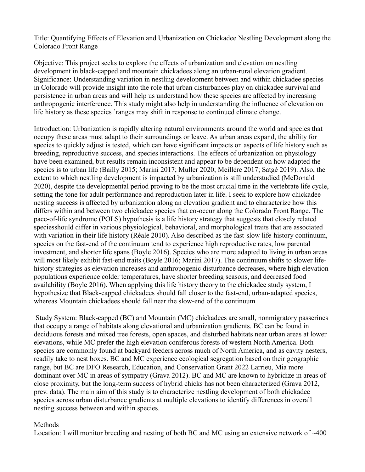Title: Quantifying Effects of Elevation and Urbanization on Chickadee Nestling Development along the Colorado Front Range

Objective: This project seeks to explore the effects of urbanization and elevation on nestling development in black-capped and mountain chickadees along an urban-rural elevation gradient. Significance: Understanding variation in nestling development between and within chickadee species in Colorado will provide insight into the role that urban disturbances play on chickadee survival and persistence in urban areas and will help us understand how these species are affected by increasing anthropogenic interference. This study might also help in understanding the influence of elevation on life history as these species 'ranges may shift in response to continued climate change.

Introduction: Urbanization is rapidly altering natural environments around the world and species that occupy these areas must adapt to their surroundings or leave. As urban areas expand, the ability for species to quickly adjust is tested, which can have significant impacts on aspects of life history such as breeding, reproductive success, and species interactions. The effects of urbanization on physiology have been examined, but results remain inconsistent and appear to be dependent on how adapted the species is to urban life (Bailly 2015; Marini 2017; Muller 2020; Meillére 2017; Satgé 2019). Also, the extent to which nestling development is impacted by urbanization is still understudied (McDonald 2020), despite the developmental period proving to be the most crucial time in the vertebrate life cycle, setting the tone for adult performance and reproduction later in life. I seek to explore how chickadee nesting success is affected by urbanization along an elevation gradient and to characterize how this differs within and between two chickadee species that co-occur along the Colorado Front Range. The pace-of-life syndrome (POLS) hypothesis is a life history strategy that suggests that closely related speciesshould differ in various physiological, behavioral, and morphological traits that are associated with variation in their life history (Réale 2010). Also described as the fast-slow life-history continuum, species on the fast-end of the continuum tend to experience high reproductive rates, low parental investment, and shorter life spans (Boyle 2016). Species who are more adapted to living in urban areas will most likely exhibit fast-end traits (Boyle 2016; Marini 2017). The continuum shifts to slower lifehistory strategies as elevation increases and anthropogenic disturbance decreases, where high elevation populations experience colder temperatures, have shorter breeding seasons, and decreased food availability (Boyle 2016). When applying this life history theory to the chickadee study system, I hypothesize that Black-capped chickadees should fall closer to the fast-end, urban-adapted species, whereas Mountain chickadees should fall near the slow-end of the continuum

 Study System: Black-capped (BC) and Mountain (MC) chickadees are small, nonmigratory passerines that occupy a range of habitats along elevational and urbanization gradients. BC can be found in deciduous forests and mixed tree forests, open spaces, and disturbed habitats near urban areas at lower elevations, while MC prefer the high elevation coniferous forests of western North America. Both species are commonly found at backyard feeders across much of North America, and as cavity nesters, readily take to nest boxes. BC and MC experience ecological segregation based on their geographic range, but BC are DFO Research, Education, and Conservation Grant 2022 Larrieu, Mia more dominant over MC in areas of sympatry (Grava 2012). BC and MC are known to hybridize in areas of close proximity, but the long-term success of hybrid chicks has not been characterized (Grava 2012, prev. data). The main aim of this study is to characterize nestling development of both chickadee species across urban disturbance gradients at multiple elevations to identify differences in overall nesting success between and within species.

## Methods

Location: I will monitor breeding and nesting of both BC and MC using an extensive network of  $\sim 400$